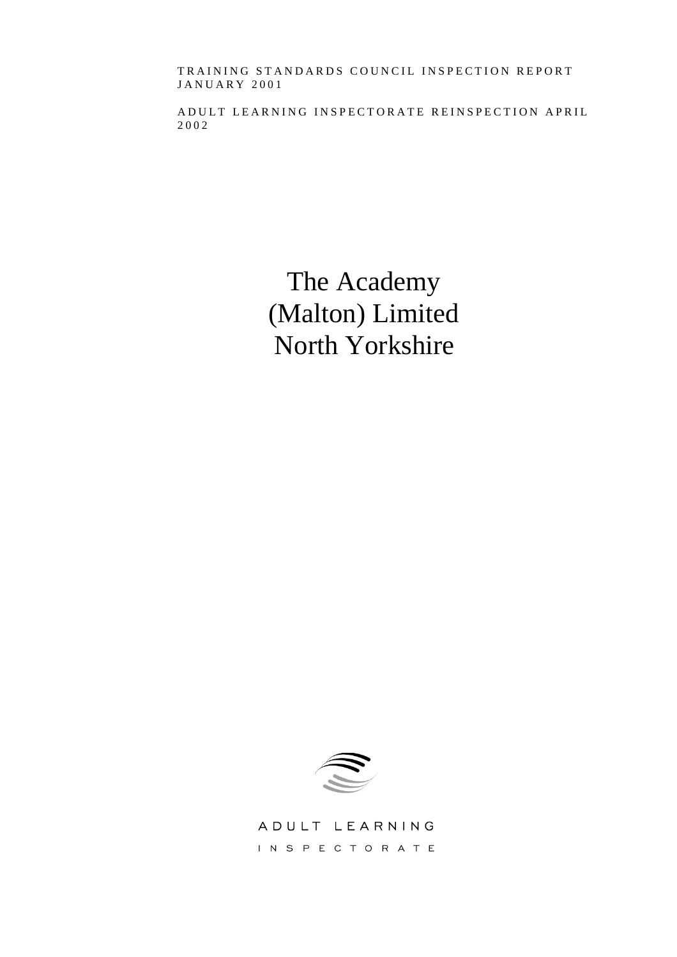TRAINING STANDARDS COUNCIL INSPECTION REPORT JANUARY 2001

ADULT LEARNING INSPECTORATE REINSPECTION APRIL 2002

> The Academy (Malton) Limited North Yorkshire



ADULT LEARNING INSPECTORATE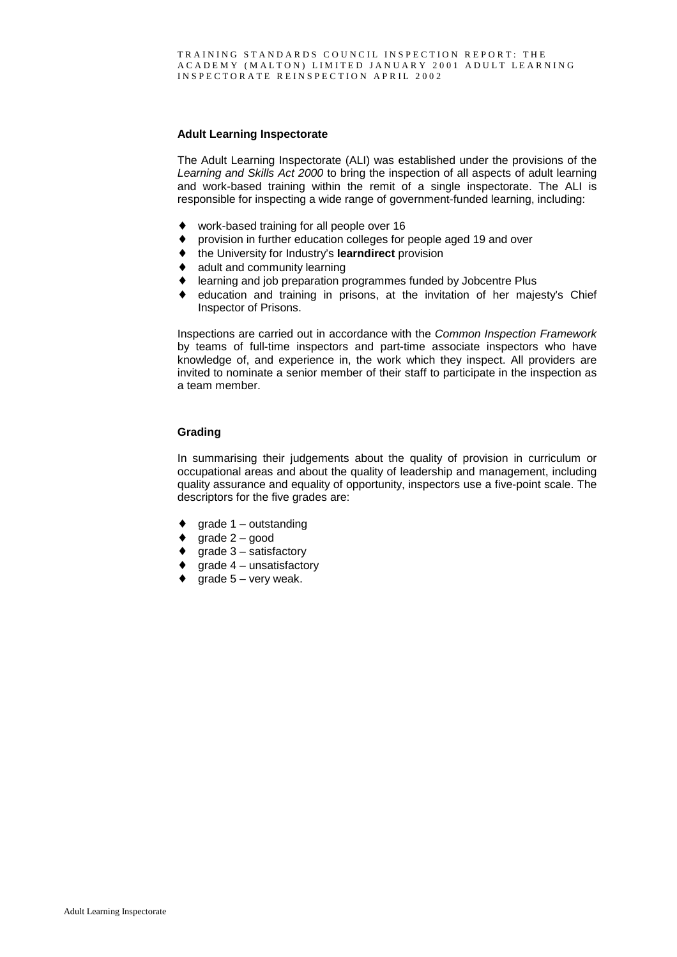#### **Adult Learning Inspectorate**

The Adult Learning Inspectorate (ALI) was established under the provisions of the *Learning and Skills Act 2000* to bring the inspection of all aspects of adult learning and work-based training within the remit of a single inspectorate. The ALI is responsible for inspecting a wide range of government-funded learning, including:

- ♦ work-based training for all people over 16
- ♦ provision in further education colleges for people aged 19 and over
- ♦ the University for Industry's **learndirect** provision
- adult and community learning
- learning and job preparation programmes funded by Jobcentre Plus
- ♦ education and training in prisons, at the invitation of her majesty's Chief Inspector of Prisons.

Inspections are carried out in accordance with the *Common Inspection Framework* by teams of full-time inspectors and part-time associate inspectors who have knowledge of, and experience in, the work which they inspect. All providers are invited to nominate a senior member of their staff to participate in the inspection as a team member.

#### **Grading**

In summarising their judgements about the quality of provision in curriculum or occupational areas and about the quality of leadership and management, including quality assurance and equality of opportunity, inspectors use a five-point scale. The descriptors for the five grades are:

- $\bullet$  grade 1 outstanding
- $\bullet$  grade 2 good
- $\bullet$  grade  $3$  satisfactory
- $\bullet$  grade 4 unsatisfactory
- grade  $5 -$  very weak.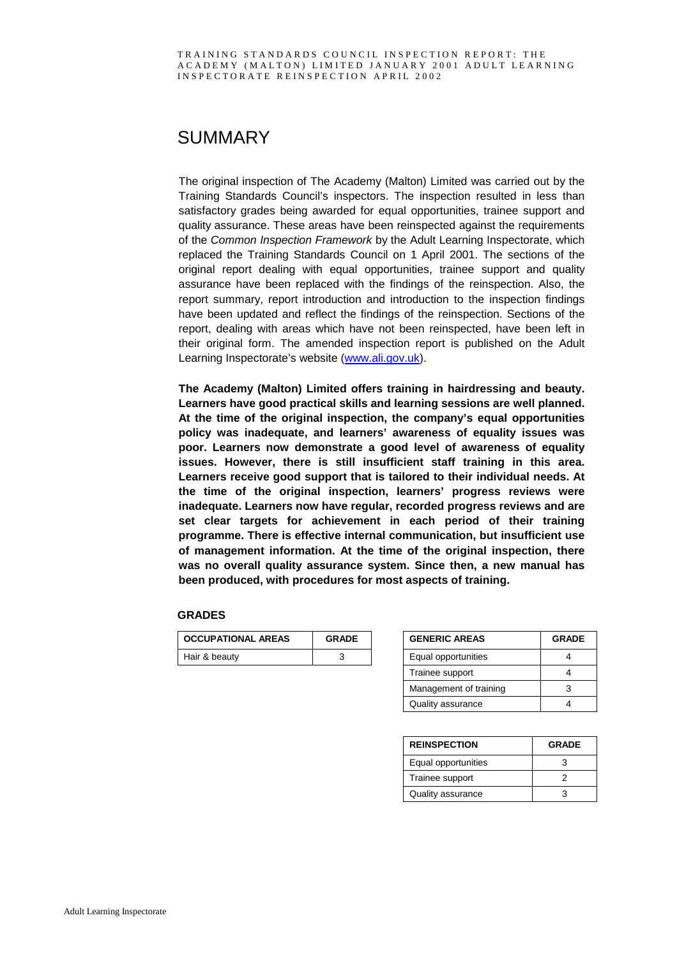## SUMMARY

The original inspection of The Academy (Malton) Limited was carried out by the Training Standards Council's inspectors. The inspection resulted in less than satisfactory grades being awarded for equal opportunities, trainee support and quality assurance. These areas have been reinspected against the requirements of the *Common Inspection Framework* by the Adult Learning Inspectorate, which replaced the Training Standards Council on 1 April 2001. The sections of the original report dealing with equal opportunities, trainee support and quality assurance have been replaced with the findings of the reinspection. Also, the report summary, report introduction and introduction to the inspection findings have been updated and reflect the findings of the reinspection. Sections of the report, dealing with areas which have not been reinspected, have been left in their original form. The amended inspection report is published on the Adult Learning Inspectorate's website (www.ali.gov.uk).

**The Academy (Malton) Limited offers training in hairdressing and beauty. Learners have good practical skills and learning sessions are well planned. At the time of the original inspection, the company's equal opportunities policy was inadequate, and learners' awareness of equality issues was poor. Learners now demonstrate a good level of awareness of equality issues. However, there is still insufficient staff training in this area. Learners receive good support that is tailored to their individual needs. At the time of the original inspection, learners' progress reviews were inadequate. Learners now have regular, recorded progress reviews and are set clear targets for achievement in each period of their training programme. There is effective internal communication, but insufficient use of management information. At the time of the original inspection, there was no overall quality assurance system. Since then, a new manual has been produced, with procedures for most aspects of training.**

#### **GRADES**

| <b>OCCUPATIONAL AREAS</b> | <b>GRADE</b> | <b>GENERIC AREAS</b> | <b>GRADE</b> |
|---------------------------|--------------|----------------------|--------------|
| Hair & beauty             |              | Equal opportunities  |              |

| <b>GENERIC AREAS</b>   | <b>GRADE</b> |  |  |
|------------------------|--------------|--|--|
| Equal opportunities    |              |  |  |
| Trainee support        |              |  |  |
| Management of training | 3            |  |  |
| Quality assurance      |              |  |  |

| <b>REINSPECTION</b> | <b>GRADE</b> |  |  |
|---------------------|--------------|--|--|
| Equal opportunities |              |  |  |
| Trainee support     |              |  |  |
| Quality assurance   |              |  |  |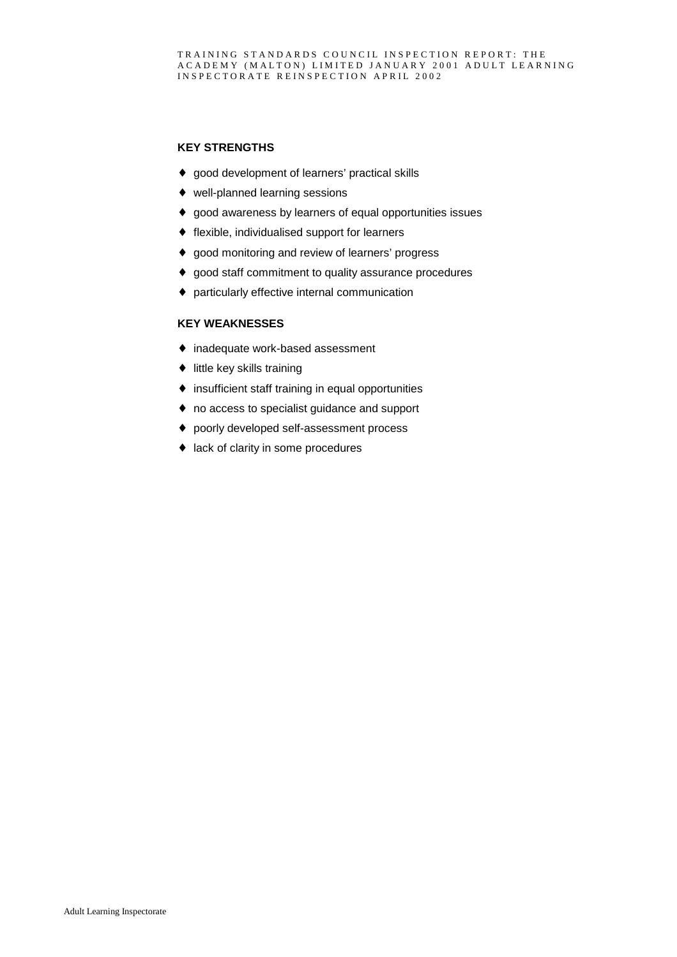#### **KEY STRENGTHS**

- ♦ good development of learners' practical skills
- ♦ well-planned learning sessions
- ♦ good awareness by learners of equal opportunities issues
- ♦ flexible, individualised support for learners
- ♦ good monitoring and review of learners' progress
- ♦ good staff commitment to quality assurance procedures
- ♦ particularly effective internal communication

#### **KEY WEAKNESSES**

- ♦ inadequate work-based assessment
- ♦ little key skills training
- ♦ insufficient staff training in equal opportunities
- ♦ no access to specialist guidance and support
- ♦ poorly developed self-assessment process
- ♦ lack of clarity in some procedures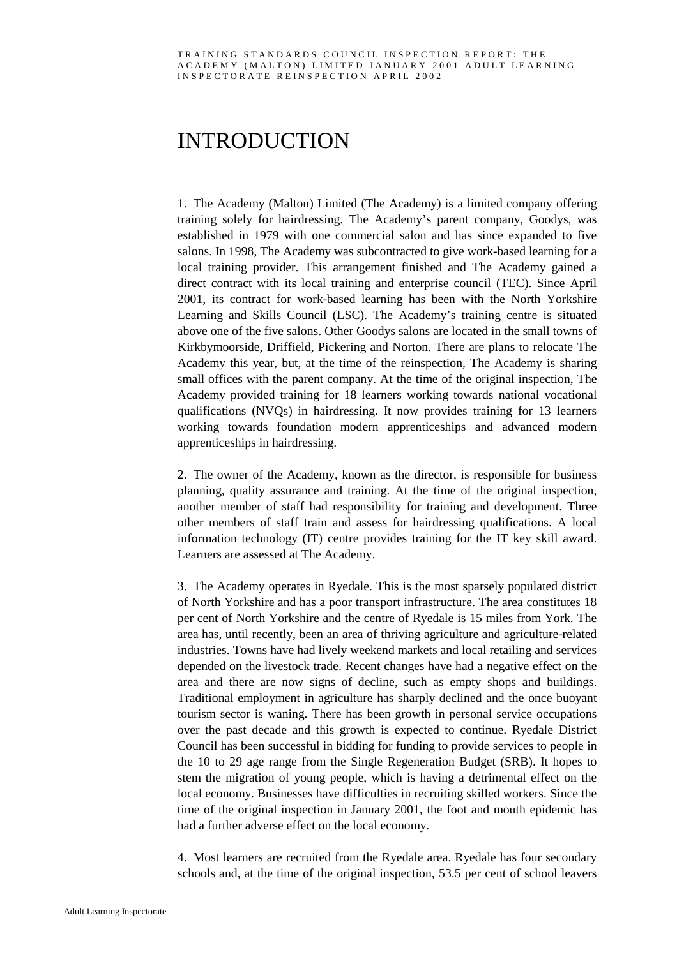## INTRODUCTION

1. The Academy (Malton) Limited (The Academy) is a limited company offering training solely for hairdressing. The Academy's parent company, Goodys, was established in 1979 with one commercial salon and has since expanded to five salons. In 1998, The Academy was subcontracted to give work-based learning for a local training provider. This arrangement finished and The Academy gained a direct contract with its local training and enterprise council (TEC). Since April 2001, its contract for work-based learning has been with the North Yorkshire Learning and Skills Council (LSC). The Academy's training centre is situated above one of the five salons. Other Goodys salons are located in the small towns of Kirkbymoorside, Driffield, Pickering and Norton. There are plans to relocate The Academy this year, but, at the time of the reinspection, The Academy is sharing small offices with the parent company. At the time of the original inspection, The Academy provided training for 18 learners working towards national vocational qualifications (NVQs) in hairdressing. It now provides training for 13 learners working towards foundation modern apprenticeships and advanced modern apprenticeships in hairdressing.

2. The owner of the Academy, known as the director, is responsible for business planning, quality assurance and training. At the time of the original inspection, another member of staff had responsibility for training and development. Three other members of staff train and assess for hairdressing qualifications. A local information technology (IT) centre provides training for the IT key skill award. Learners are assessed at The Academy.

3. The Academy operates in Ryedale. This is the most sparsely populated district of North Yorkshire and has a poor transport infrastructure. The area constitutes 18 per cent of North Yorkshire and the centre of Ryedale is 15 miles from York. The area has, until recently, been an area of thriving agriculture and agriculture-related industries. Towns have had lively weekend markets and local retailing and services depended on the livestock trade. Recent changes have had a negative effect on the area and there are now signs of decline, such as empty shops and buildings. Traditional employment in agriculture has sharply declined and the once buoyant tourism sector is waning. There has been growth in personal service occupations over the past decade and this growth is expected to continue. Ryedale District Council has been successful in bidding for funding to provide services to people in the 10 to 29 age range from the Single Regeneration Budget (SRB). It hopes to stem the migration of young people, which is having a detrimental effect on the local economy. Businesses have difficulties in recruiting skilled workers. Since the time of the original inspection in January 2001, the foot and mouth epidemic has had a further adverse effect on the local economy.

4. Most learners are recruited from the Ryedale area. Ryedale has four secondary schools and, at the time of the original inspection, 53.5 per cent of school leavers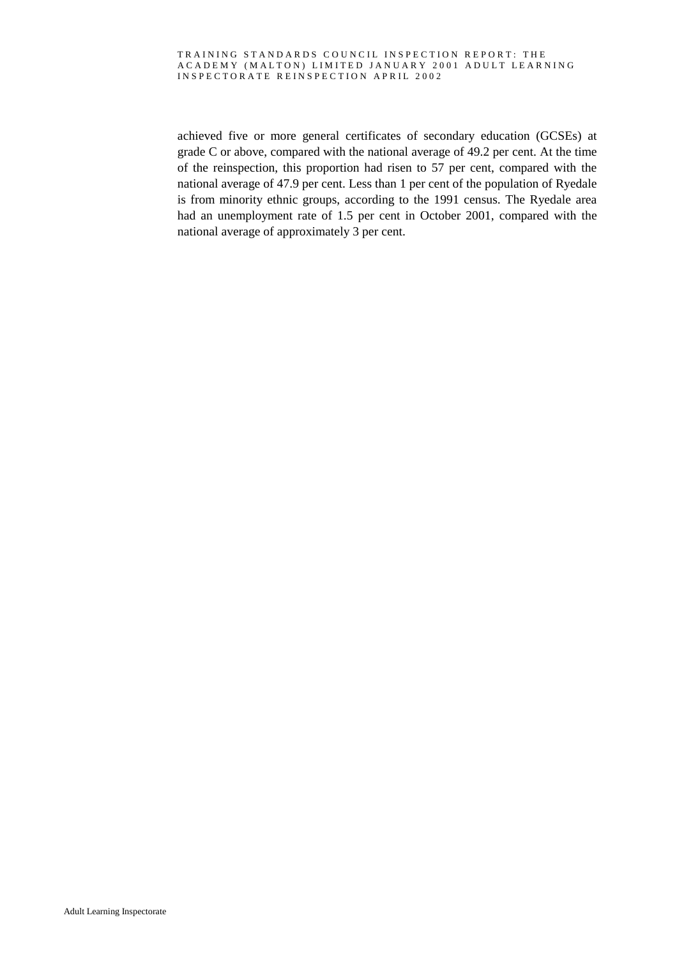achieved five or more general certificates of secondary education (GCSEs) at grade C or above, compared with the national average of 49.2 per cent. At the time of the reinspection, this proportion had risen to 57 per cent, compared with the national average of 47.9 per cent. Less than 1 per cent of the population of Ryedale is from minority ethnic groups, according to the 1991 census. The Ryedale area had an unemployment rate of 1.5 per cent in October 2001, compared with the national average of approximately 3 per cent.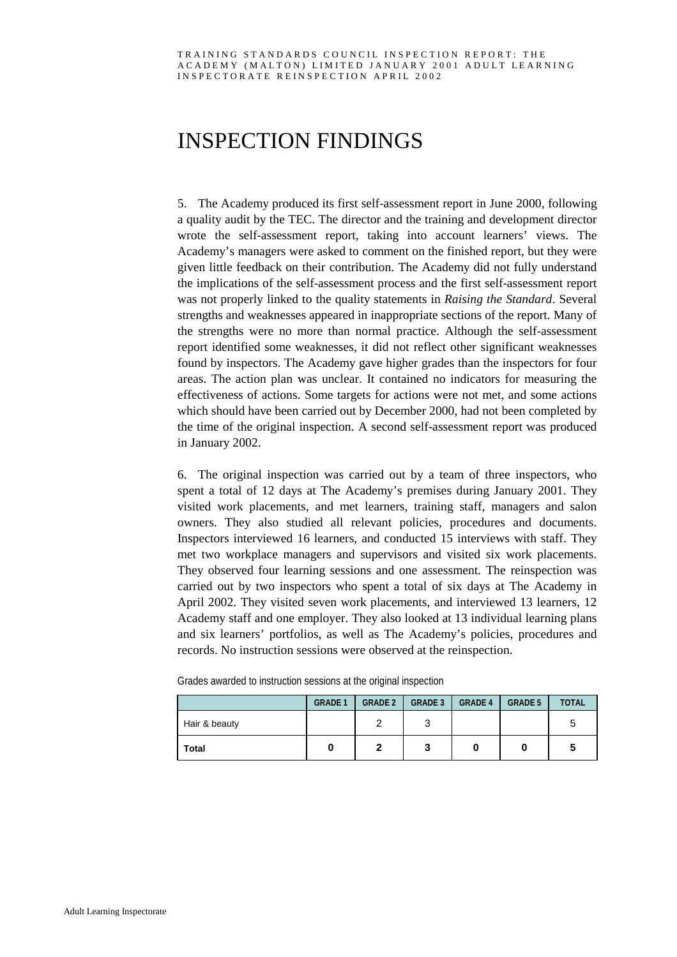# INSPECTION FINDINGS

5. The Academy produced its first self-assessment report in June 2000, following a quality audit by the TEC. The director and the training and development director wrote the self-assessment report, taking into account learners' views. The Academy's managers were asked to comment on the finished report, but they were given little feedback on their contribution. The Academy did not fully understand the implications of the self-assessment process and the first self-assessment report was not properly linked to the quality statements in *Raising the Standard*. Several strengths and weaknesses appeared in inappropriate sections of the report. Many of the strengths were no more than normal practice. Although the self-assessment report identified some weaknesses, it did not reflect other significant weaknesses found by inspectors. The Academy gave higher grades than the inspectors for four areas. The action plan was unclear. It contained no indicators for measuring the effectiveness of actions. Some targets for actions were not met, and some actions which should have been carried out by December 2000, had not been completed by the time of the original inspection. A second self-assessment report was produced in January 2002.

6. The original inspection was carried out by a team of three inspectors, who spent a total of 12 days at The Academy's premises during January 2001. They visited work placements, and met learners, training staff, managers and salon owners. They also studied all relevant policies, procedures and documents. Inspectors interviewed 16 learners, and conducted 15 interviews with staff. They met two workplace managers and supervisors and visited six work placements. They observed four learning sessions and one assessment. The reinspection was carried out by two inspectors who spent a total of six days at The Academy in April 2002. They visited seven work placements, and interviewed 13 learners, 12 Academy staff and one employer. They also looked at 13 individual learning plans and six learners' portfolios, as well as The Academy's policies, procedures and records. No instruction sessions were observed at the reinspection.

|               |                | $\cdot$        |                |                |                |              |
|---------------|----------------|----------------|----------------|----------------|----------------|--------------|
|               | <b>GRADE 1</b> | <b>GRADE 2</b> | <b>GRADE 3</b> | <b>GRADE 4</b> | <b>GRADE 5</b> | <b>TOTAL</b> |
| Hair & beauty |                |                | ว<br>J         |                |                | 5            |
| <b>Total</b>  |                |                | 3              |                |                | C            |

Grades awarded to instruction sessions at the original inspection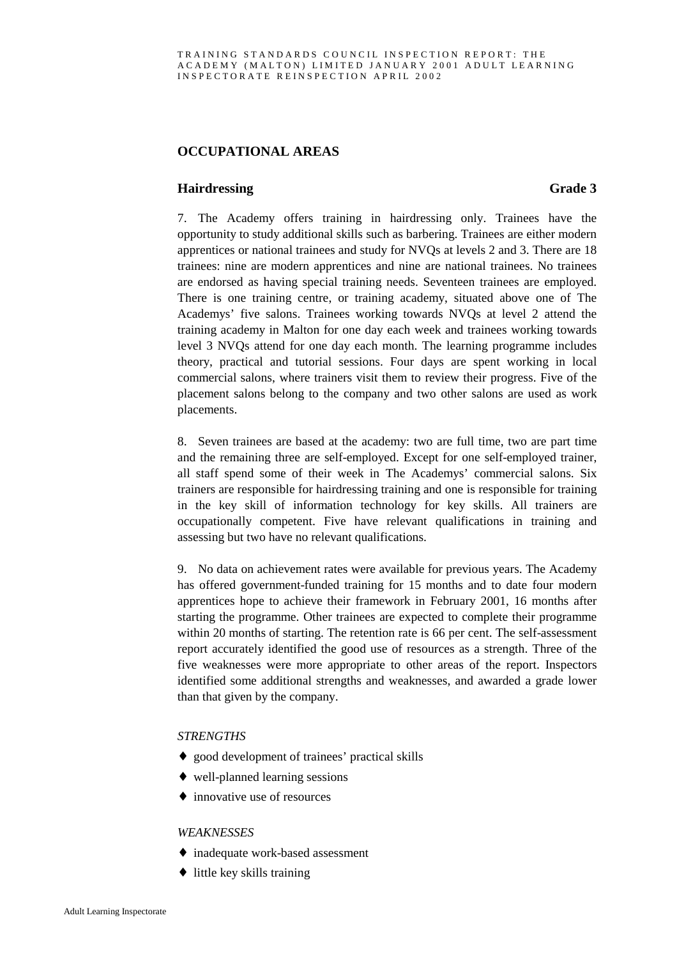### **OCCUPATIONAL AREAS**

#### **Hairdressing Grade 3**

7. The Academy offers training in hairdressing only. Trainees have the opportunity to study additional skills such as barbering. Trainees are either modern apprentices or national trainees and study for NVQs at levels 2 and 3. There are 18 trainees: nine are modern apprentices and nine are national trainees. No trainees are endorsed as having special training needs. Seventeen trainees are employed. There is one training centre, or training academy, situated above one of The Academys' five salons. Trainees working towards NVQs at level 2 attend the training academy in Malton for one day each week and trainees working towards level 3 NVQs attend for one day each month. The learning programme includes theory, practical and tutorial sessions. Four days are spent working in local commercial salons, where trainers visit them to review their progress. Five of the placement salons belong to the company and two other salons are used as work placements.

8. Seven trainees are based at the academy: two are full time, two are part time and the remaining three are self-employed. Except for one self-employed trainer, all staff spend some of their week in The Academys' commercial salons. Six trainers are responsible for hairdressing training and one is responsible for training in the key skill of information technology for key skills. All trainers are occupationally competent. Five have relevant qualifications in training and assessing but two have no relevant qualifications.

9. No data on achievement rates were available for previous years. The Academy has offered government-funded training for 15 months and to date four modern apprentices hope to achieve their framework in February 2001, 16 months after starting the programme. Other trainees are expected to complete their programme within 20 months of starting. The retention rate is 66 per cent. The self-assessment report accurately identified the good use of resources as a strength. Three of the five weaknesses were more appropriate to other areas of the report. Inspectors identified some additional strengths and weaknesses, and awarded a grade lower than that given by the company.

#### *STRENGTHS*

- ♦ good development of trainees' practical skills
- $\triangleleft$  well-planned learning sessions
- ♦ innovative use of resources

#### *WEAKNESSES*

- ♦ inadequate work-based assessment
- $\bullet$  little key skills training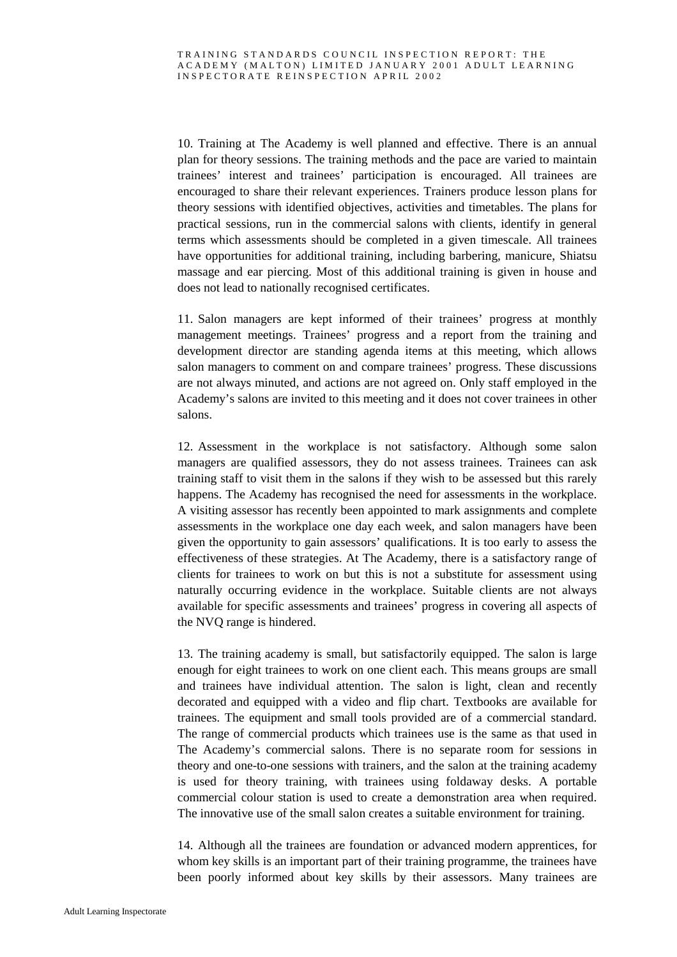10. Training at The Academy is well planned and effective. There is an annual plan for theory sessions. The training methods and the pace are varied to maintain trainees' interest and trainees' participation is encouraged. All trainees are encouraged to share their relevant experiences. Trainers produce lesson plans for theory sessions with identified objectives, activities and timetables. The plans for practical sessions, run in the commercial salons with clients, identify in general terms which assessments should be completed in a given timescale. All trainees have opportunities for additional training, including barbering, manicure, Shiatsu massage and ear piercing. Most of this additional training is given in house and does not lead to nationally recognised certificates.

11. Salon managers are kept informed of their trainees' progress at monthly management meetings. Trainees' progress and a report from the training and development director are standing agenda items at this meeting, which allows salon managers to comment on and compare trainees' progress. These discussions are not always minuted, and actions are not agreed on. Only staff employed in the Academy's salons are invited to this meeting and it does not cover trainees in other salons.

12. Assessment in the workplace is not satisfactory. Although some salon managers are qualified assessors, they do not assess trainees. Trainees can ask training staff to visit them in the salons if they wish to be assessed but this rarely happens. The Academy has recognised the need for assessments in the workplace. A visiting assessor has recently been appointed to mark assignments and complete assessments in the workplace one day each week, and salon managers have been given the opportunity to gain assessors' qualifications. It is too early to assess the effectiveness of these strategies. At The Academy, there is a satisfactory range of clients for trainees to work on but this is not a substitute for assessment using naturally occurring evidence in the workplace. Suitable clients are not always available for specific assessments and trainees' progress in covering all aspects of the NVQ range is hindered.

13. The training academy is small, but satisfactorily equipped. The salon is large enough for eight trainees to work on one client each. This means groups are small and trainees have individual attention. The salon is light, clean and recently decorated and equipped with a video and flip chart. Textbooks are available for trainees. The equipment and small tools provided are of a commercial standard. The range of commercial products which trainees use is the same as that used in The Academy's commercial salons. There is no separate room for sessions in theory and one-to-one sessions with trainers, and the salon at the training academy is used for theory training, with trainees using foldaway desks. A portable commercial colour station is used to create a demonstration area when required. The innovative use of the small salon creates a suitable environment for training.

14. Although all the trainees are foundation or advanced modern apprentices, for whom key skills is an important part of their training programme, the trainees have been poorly informed about key skills by their assessors. Many trainees are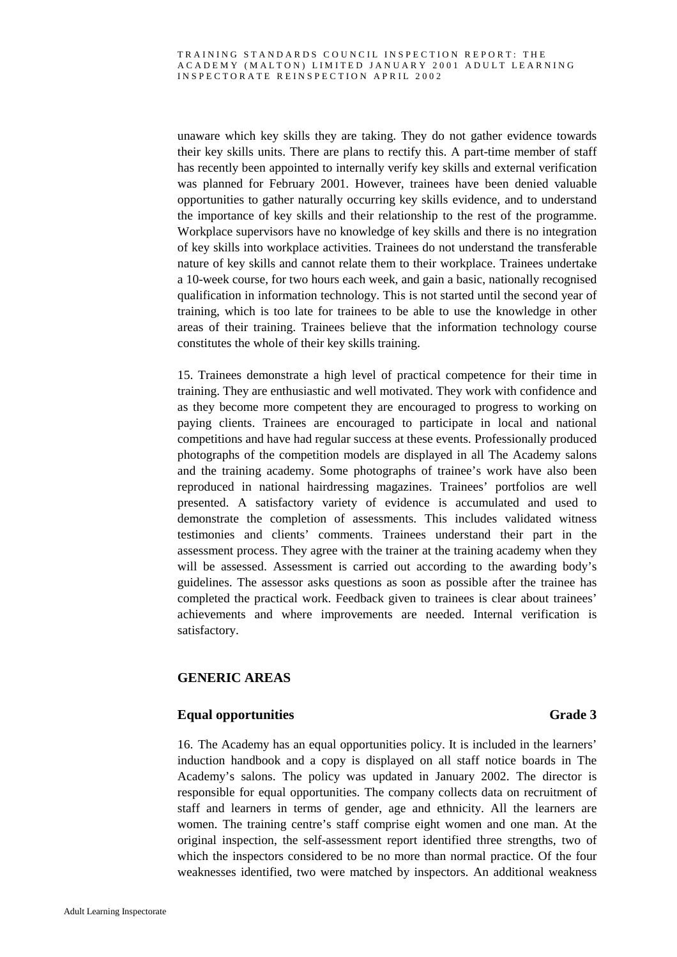unaware which key skills they are taking. They do not gather evidence towards their key skills units. There are plans to rectify this. A part-time member of staff has recently been appointed to internally verify key skills and external verification was planned for February 2001. However, trainees have been denied valuable opportunities to gather naturally occurring key skills evidence, and to understand the importance of key skills and their relationship to the rest of the programme. Workplace supervisors have no knowledge of key skills and there is no integration of key skills into workplace activities. Trainees do not understand the transferable nature of key skills and cannot relate them to their workplace. Trainees undertake a 10-week course, for two hours each week, and gain a basic, nationally recognised qualification in information technology. This is not started until the second year of training, which is too late for trainees to be able to use the knowledge in other areas of their training. Trainees believe that the information technology course constitutes the whole of their key skills training.

15. Trainees demonstrate a high level of practical competence for their time in training. They are enthusiastic and well motivated. They work with confidence and as they become more competent they are encouraged to progress to working on paying clients. Trainees are encouraged to participate in local and national competitions and have had regular success at these events. Professionally produced photographs of the competition models are displayed in all The Academy salons and the training academy. Some photographs of trainee's work have also been reproduced in national hairdressing magazines. Trainees' portfolios are well presented. A satisfactory variety of evidence is accumulated and used to demonstrate the completion of assessments. This includes validated witness testimonies and clients' comments. Trainees understand their part in the assessment process. They agree with the trainer at the training academy when they will be assessed. Assessment is carried out according to the awarding body's guidelines. The assessor asks questions as soon as possible after the trainee has completed the practical work. Feedback given to trainees is clear about trainees' achievements and where improvements are needed. Internal verification is satisfactory.

### **GENERIC AREAS**

### **Equal opportunities Grade 3**

16. The Academy has an equal opportunities policy. It is included in the learners' induction handbook and a copy is displayed on all staff notice boards in The Academy's salons. The policy was updated in January 2002. The director is responsible for equal opportunities. The company collects data on recruitment of staff and learners in terms of gender, age and ethnicity. All the learners are women. The training centre's staff comprise eight women and one man. At the original inspection, the self-assessment report identified three strengths, two of which the inspectors considered to be no more than normal practice. Of the four weaknesses identified, two were matched by inspectors. An additional weakness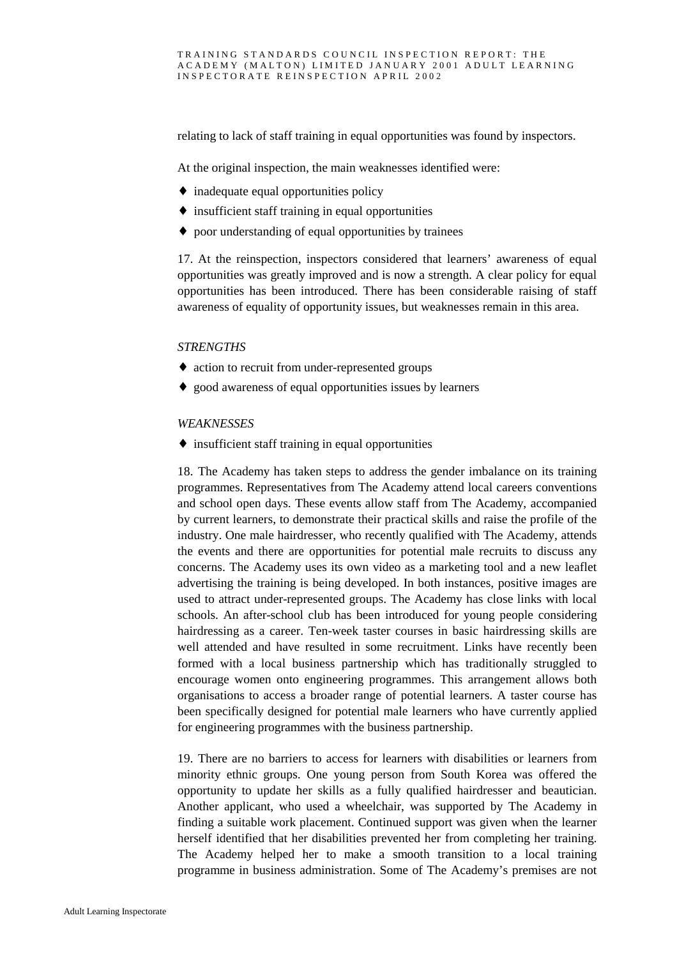relating to lack of staff training in equal opportunities was found by inspectors.

At the original inspection, the main weaknesses identified were:

- ♦ inadequate equal opportunities policy
- $\bullet$  insufficient staff training in equal opportunities
- ♦ poor understanding of equal opportunities by trainees

17. At the reinspection, inspectors considered that learners' awareness of equal opportunities was greatly improved and is now a strength. A clear policy for equal opportunities has been introduced. There has been considerable raising of staff awareness of equality of opportunity issues, but weaknesses remain in this area.

#### *STRENGTHS*

- ♦ action to recruit from under-represented groups
- ♦ good awareness of equal opportunities issues by learners

#### *WEAKNESSES*

♦ insufficient staff training in equal opportunities

18. The Academy has taken steps to address the gender imbalance on its training programmes. Representatives from The Academy attend local careers conventions and school open days. These events allow staff from The Academy, accompanied by current learners, to demonstrate their practical skills and raise the profile of the industry. One male hairdresser, who recently qualified with The Academy, attends the events and there are opportunities for potential male recruits to discuss any concerns. The Academy uses its own video as a marketing tool and a new leaflet advertising the training is being developed. In both instances, positive images are used to attract under-represented groups. The Academy has close links with local schools. An after-school club has been introduced for young people considering hairdressing as a career. Ten-week taster courses in basic hairdressing skills are well attended and have resulted in some recruitment. Links have recently been formed with a local business partnership which has traditionally struggled to encourage women onto engineering programmes. This arrangement allows both organisations to access a broader range of potential learners. A taster course has been specifically designed for potential male learners who have currently applied for engineering programmes with the business partnership.

19. There are no barriers to access for learners with disabilities or learners from minority ethnic groups. One young person from South Korea was offered the opportunity to update her skills as a fully qualified hairdresser and beautician. Another applicant, who used a wheelchair, was supported by The Academy in finding a suitable work placement. Continued support was given when the learner herself identified that her disabilities prevented her from completing her training. The Academy helped her to make a smooth transition to a local training programme in business administration. Some of The Academy's premises are not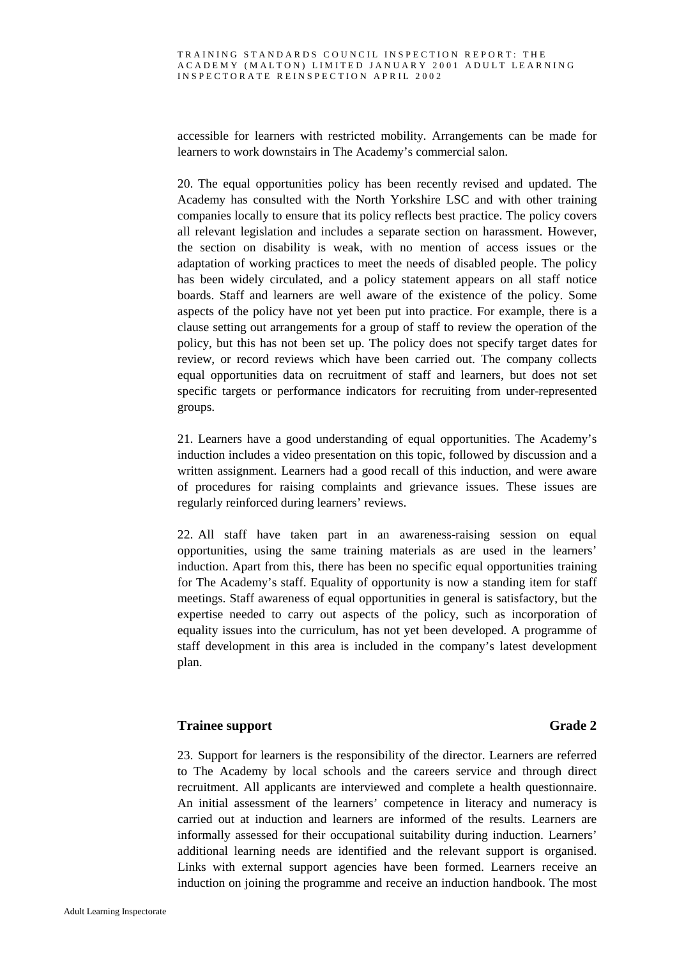accessible for learners with restricted mobility. Arrangements can be made for learners to work downstairs in The Academy's commercial salon.

20. The equal opportunities policy has been recently revised and updated. The Academy has consulted with the North Yorkshire LSC and with other training companies locally to ensure that its policy reflects best practice. The policy covers all relevant legislation and includes a separate section on harassment. However, the section on disability is weak, with no mention of access issues or the adaptation of working practices to meet the needs of disabled people. The policy has been widely circulated, and a policy statement appears on all staff notice boards. Staff and learners are well aware of the existence of the policy. Some aspects of the policy have not yet been put into practice. For example, there is a clause setting out arrangements for a group of staff to review the operation of the policy, but this has not been set up. The policy does not specify target dates for review, or record reviews which have been carried out. The company collects equal opportunities data on recruitment of staff and learners, but does not set specific targets or performance indicators for recruiting from under-represented groups.

21. Learners have a good understanding of equal opportunities. The Academy's induction includes a video presentation on this topic, followed by discussion and a written assignment. Learners had a good recall of this induction, and were aware of procedures for raising complaints and grievance issues. These issues are regularly reinforced during learners' reviews.

22. All staff have taken part in an awareness-raising session on equal opportunities, using the same training materials as are used in the learners' induction. Apart from this, there has been no specific equal opportunities training for The Academy's staff. Equality of opportunity is now a standing item for staff meetings. Staff awareness of equal opportunities in general is satisfactory, but the expertise needed to carry out aspects of the policy, such as incorporation of equality issues into the curriculum, has not yet been developed. A programme of staff development in this area is included in the company's latest development plan.

#### **Trainee support Grade 2**

23. Support for learners is the responsibility of the director. Learners are referred to The Academy by local schools and the careers service and through direct recruitment. All applicants are interviewed and complete a health questionnaire. An initial assessment of the learners' competence in literacy and numeracy is carried out at induction and learners are informed of the results. Learners are informally assessed for their occupational suitability during induction. Learners' additional learning needs are identified and the relevant support is organised. Links with external support agencies have been formed. Learners receive an induction on joining the programme and receive an induction handbook. The most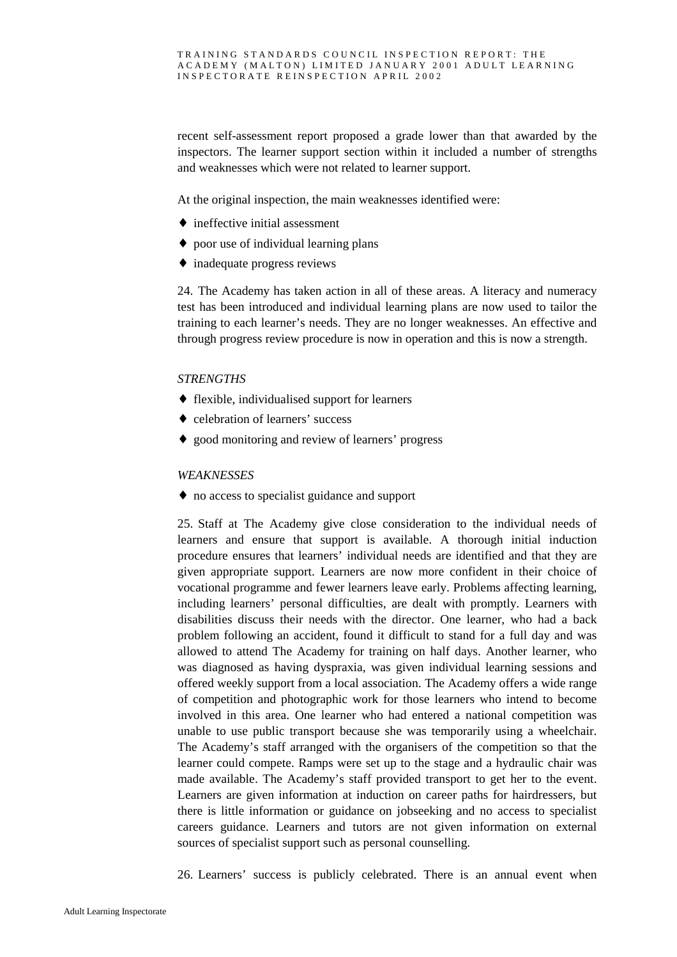recent self-assessment report proposed a grade lower than that awarded by the inspectors. The learner support section within it included a number of strengths and weaknesses which were not related to learner support.

At the original inspection, the main weaknesses identified were:

- $\triangle$  ineffective initial assessment
- ♦ poor use of individual learning plans
- ♦ inadequate progress reviews

24. The Academy has taken action in all of these areas. A literacy and numeracy test has been introduced and individual learning plans are now used to tailor the training to each learner's needs. They are no longer weaknesses. An effective and through progress review procedure is now in operation and this is now a strength.

#### *STRENGTHS*

- ♦ flexible, individualised support for learners
- ♦ celebration of learners' success
- ♦ good monitoring and review of learners' progress

#### *WEAKNESSES*

♦ no access to specialist guidance and support

25. Staff at The Academy give close consideration to the individual needs of learners and ensure that support is available. A thorough initial induction procedure ensures that learners' individual needs are identified and that they are given appropriate support. Learners are now more confident in their choice of vocational programme and fewer learners leave early. Problems affecting learning, including learners' personal difficulties, are dealt with promptly. Learners with disabilities discuss their needs with the director. One learner, who had a back problem following an accident, found it difficult to stand for a full day and was allowed to attend The Academy for training on half days. Another learner, who was diagnosed as having dyspraxia, was given individual learning sessions and offered weekly support from a local association. The Academy offers a wide range of competition and photographic work for those learners who intend to become involved in this area. One learner who had entered a national competition was unable to use public transport because she was temporarily using a wheelchair. The Academy's staff arranged with the organisers of the competition so that the learner could compete. Ramps were set up to the stage and a hydraulic chair was made available. The Academy's staff provided transport to get her to the event. Learners are given information at induction on career paths for hairdressers, but there is little information or guidance on jobseeking and no access to specialist careers guidance. Learners and tutors are not given information on external sources of specialist support such as personal counselling.

26. Learners' success is publicly celebrated. There is an annual event when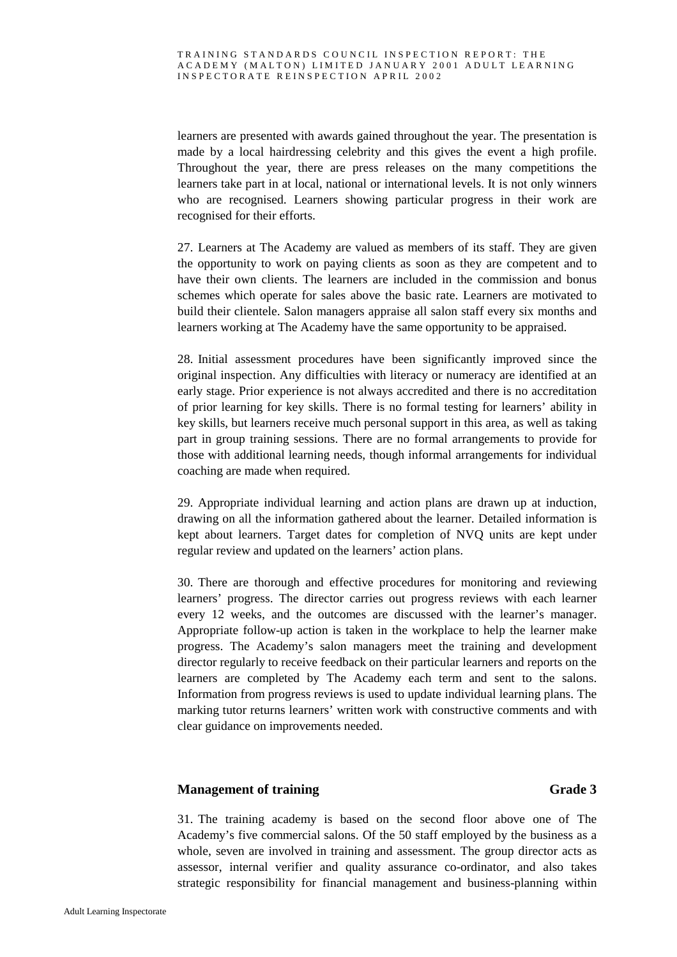learners are presented with awards gained throughout the year. The presentation is made by a local hairdressing celebrity and this gives the event a high profile. Throughout the year, there are press releases on the many competitions the learners take part in at local, national or international levels. It is not only winners who are recognised. Learners showing particular progress in their work are recognised for their efforts.

27. Learners at The Academy are valued as members of its staff. They are given the opportunity to work on paying clients as soon as they are competent and to have their own clients. The learners are included in the commission and bonus schemes which operate for sales above the basic rate. Learners are motivated to build their clientele. Salon managers appraise all salon staff every six months and learners working at The Academy have the same opportunity to be appraised.

28. Initial assessment procedures have been significantly improved since the original inspection. Any difficulties with literacy or numeracy are identified at an early stage. Prior experience is not always accredited and there is no accreditation of prior learning for key skills. There is no formal testing for learners' ability in key skills, but learners receive much personal support in this area, as well as taking part in group training sessions. There are no formal arrangements to provide for those with additional learning needs, though informal arrangements for individual coaching are made when required.

29. Appropriate individual learning and action plans are drawn up at induction, drawing on all the information gathered about the learner. Detailed information is kept about learners. Target dates for completion of NVQ units are kept under regular review and updated on the learners' action plans.

30. There are thorough and effective procedures for monitoring and reviewing learners' progress. The director carries out progress reviews with each learner every 12 weeks, and the outcomes are discussed with the learner's manager. Appropriate follow-up action is taken in the workplace to help the learner make progress. The Academy's salon managers meet the training and development director regularly to receive feedback on their particular learners and reports on the learners are completed by The Academy each term and sent to the salons. Information from progress reviews is used to update individual learning plans. The marking tutor returns learners' written work with constructive comments and with clear guidance on improvements needed.

### **Management of training Grade 3**

31. The training academy is based on the second floor above one of The Academy's five commercial salons. Of the 50 staff employed by the business as a whole, seven are involved in training and assessment. The group director acts as assessor, internal verifier and quality assurance co-ordinator, and also takes strategic responsibility for financial management and business-planning within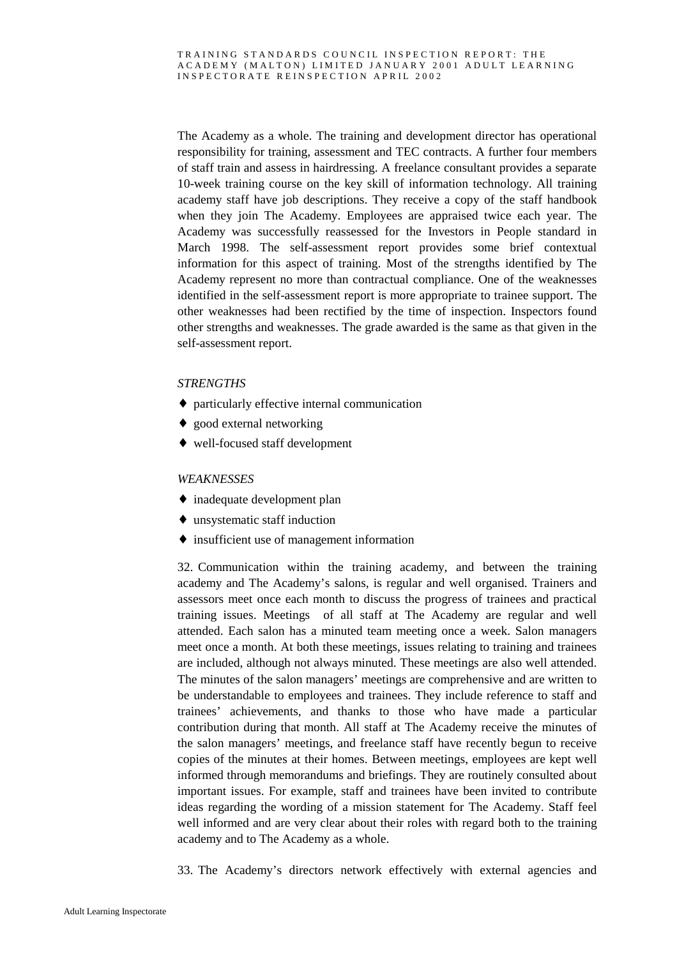The Academy as a whole. The training and development director has operational responsibility for training, assessment and TEC contracts. A further four members of staff train and assess in hairdressing. A freelance consultant provides a separate 10-week training course on the key skill of information technology. All training academy staff have job descriptions. They receive a copy of the staff handbook when they join The Academy. Employees are appraised twice each year. The Academy was successfully reassessed for the Investors in People standard in March 1998. The self-assessment report provides some brief contextual information for this aspect of training. Most of the strengths identified by The Academy represent no more than contractual compliance. One of the weaknesses identified in the self-assessment report is more appropriate to trainee support. The other weaknesses had been rectified by the time of inspection. Inspectors found other strengths and weaknesses. The grade awarded is the same as that given in the self-assessment report.

#### *STRENGTHS*

- ♦ particularly effective internal communication
- ♦ good external networking
- ♦ well-focused staff development

#### *WEAKNESSES*

- ♦ inadequate development plan
- ♦ unsystematic staff induction
- ♦ insufficient use of management information

32. Communication within the training academy, and between the training academy and The Academy's salons, is regular and well organised. Trainers and assessors meet once each month to discuss the progress of trainees and practical training issues. Meetings of all staff at The Academy are regular and well attended. Each salon has a minuted team meeting once a week. Salon managers meet once a month. At both these meetings, issues relating to training and trainees are included, although not always minuted. These meetings are also well attended. The minutes of the salon managers' meetings are comprehensive and are written to be understandable to employees and trainees. They include reference to staff and trainees' achievements, and thanks to those who have made a particular contribution during that month. All staff at The Academy receive the minutes of the salon managers' meetings, and freelance staff have recently begun to receive copies of the minutes at their homes. Between meetings, employees are kept well informed through memorandums and briefings. They are routinely consulted about important issues. For example, staff and trainees have been invited to contribute ideas regarding the wording of a mission statement for The Academy. Staff feel well informed and are very clear about their roles with regard both to the training academy and to The Academy as a whole.

33. The Academy's directors network effectively with external agencies and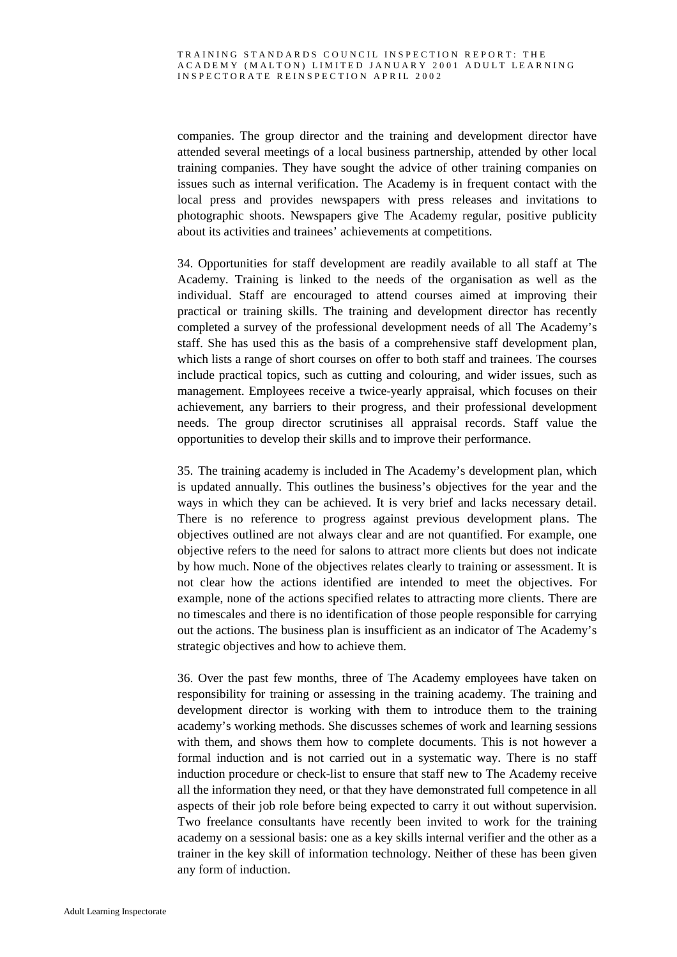companies. The group director and the training and development director have attended several meetings of a local business partnership, attended by other local training companies. They have sought the advice of other training companies on issues such as internal verification. The Academy is in frequent contact with the local press and provides newspapers with press releases and invitations to photographic shoots. Newspapers give The Academy regular, positive publicity about its activities and trainees' achievements at competitions.

34. Opportunities for staff development are readily available to all staff at The Academy. Training is linked to the needs of the organisation as well as the individual. Staff are encouraged to attend courses aimed at improving their practical or training skills. The training and development director has recently completed a survey of the professional development needs of all The Academy's staff. She has used this as the basis of a comprehensive staff development plan, which lists a range of short courses on offer to both staff and trainees. The courses include practical topics, such as cutting and colouring, and wider issues, such as management. Employees receive a twice-yearly appraisal, which focuses on their achievement, any barriers to their progress, and their professional development needs. The group director scrutinises all appraisal records. Staff value the opportunities to develop their skills and to improve their performance.

35. The training academy is included in The Academy's development plan, which is updated annually. This outlines the business's objectives for the year and the ways in which they can be achieved. It is very brief and lacks necessary detail. There is no reference to progress against previous development plans. The objectives outlined are not always clear and are not quantified. For example, one objective refers to the need for salons to attract more clients but does not indicate by how much. None of the objectives relates clearly to training or assessment. It is not clear how the actions identified are intended to meet the objectives. For example, none of the actions specified relates to attracting more clients. There are no timescales and there is no identification of those people responsible for carrying out the actions. The business plan is insufficient as an indicator of The Academy's strategic objectives and how to achieve them.

36. Over the past few months, three of The Academy employees have taken on responsibility for training or assessing in the training academy. The training and development director is working with them to introduce them to the training academy's working methods. She discusses schemes of work and learning sessions with them, and shows them how to complete documents. This is not however a formal induction and is not carried out in a systematic way. There is no staff induction procedure or check-list to ensure that staff new to The Academy receive all the information they need, or that they have demonstrated full competence in all aspects of their job role before being expected to carry it out without supervision. Two freelance consultants have recently been invited to work for the training academy on a sessional basis: one as a key skills internal verifier and the other as a trainer in the key skill of information technology. Neither of these has been given any form of induction.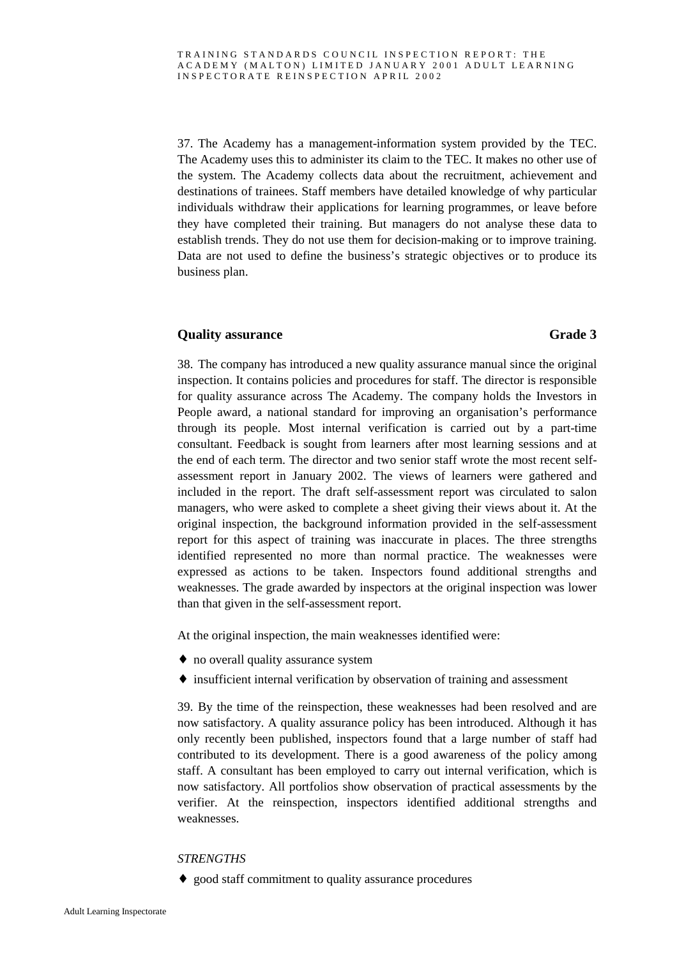37. The Academy has a management-information system provided by the TEC. The Academy uses this to administer its claim to the TEC. It makes no other use of the system. The Academy collects data about the recruitment, achievement and destinations of trainees. Staff members have detailed knowledge of why particular individuals withdraw their applications for learning programmes, or leave before they have completed their training. But managers do not analyse these data to establish trends. They do not use them for decision-making or to improve training. Data are not used to define the business's strategic objectives or to produce its business plan.

#### **Quality assurance** Grade 3

38. The company has introduced a new quality assurance manual since the original inspection. It contains policies and procedures for staff. The director is responsible for quality assurance across The Academy. The company holds the Investors in People award, a national standard for improving an organisation's performance through its people. Most internal verification is carried out by a part-time consultant. Feedback is sought from learners after most learning sessions and at the end of each term. The director and two senior staff wrote the most recent selfassessment report in January 2002. The views of learners were gathered and included in the report. The draft self-assessment report was circulated to salon managers, who were asked to complete a sheet giving their views about it. At the original inspection, the background information provided in the self-assessment report for this aspect of training was inaccurate in places. The three strengths identified represented no more than normal practice. The weaknesses were expressed as actions to be taken. Inspectors found additional strengths and weaknesses. The grade awarded by inspectors at the original inspection was lower than that given in the self-assessment report.

At the original inspection, the main weaknesses identified were:

- ♦ no overall quality assurance system
- ♦ insufficient internal verification by observation of training and assessment

39. By the time of the reinspection, these weaknesses had been resolved and are now satisfactory. A quality assurance policy has been introduced. Although it has only recently been published, inspectors found that a large number of staff had contributed to its development. There is a good awareness of the policy among staff. A consultant has been employed to carry out internal verification, which is now satisfactory. All portfolios show observation of practical assessments by the verifier. At the reinspection, inspectors identified additional strengths and weaknesses.

### *STRENGTHS*

♦ good staff commitment to quality assurance procedures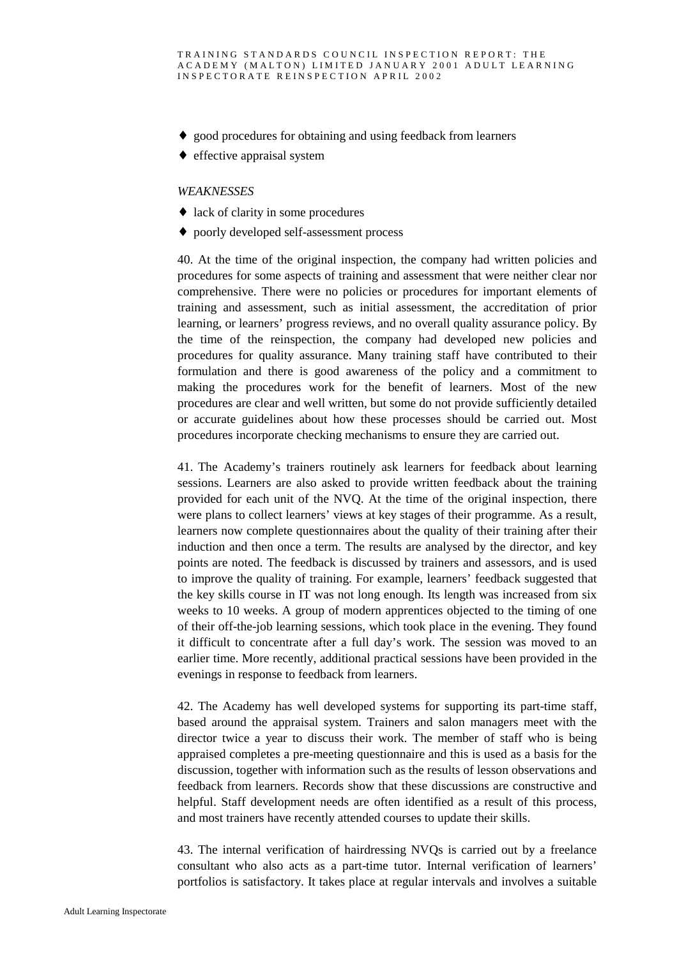- ♦ good procedures for obtaining and using feedback from learners
- $\triangleleft$  effective appraisal system

#### *WEAKNESSES*

- lack of clarity in some procedures
- ♦ poorly developed self-assessment process

40. At the time of the original inspection, the company had written policies and procedures for some aspects of training and assessment that were neither clear nor comprehensive. There were no policies or procedures for important elements of training and assessment, such as initial assessment, the accreditation of prior learning, or learners' progress reviews, and no overall quality assurance policy. By the time of the reinspection, the company had developed new policies and procedures for quality assurance. Many training staff have contributed to their formulation and there is good awareness of the policy and a commitment to making the procedures work for the benefit of learners. Most of the new procedures are clear and well written, but some do not provide sufficiently detailed or accurate guidelines about how these processes should be carried out. Most procedures incorporate checking mechanisms to ensure they are carried out.

41. The Academy's trainers routinely ask learners for feedback about learning sessions. Learners are also asked to provide written feedback about the training provided for each unit of the NVQ. At the time of the original inspection, there were plans to collect learners' views at key stages of their programme. As a result, learners now complete questionnaires about the quality of their training after their induction and then once a term. The results are analysed by the director, and key points are noted. The feedback is discussed by trainers and assessors, and is used to improve the quality of training. For example, learners' feedback suggested that the key skills course in IT was not long enough. Its length was increased from six weeks to 10 weeks. A group of modern apprentices objected to the timing of one of their off-the-job learning sessions, which took place in the evening. They found it difficult to concentrate after a full day's work. The session was moved to an earlier time. More recently, additional practical sessions have been provided in the evenings in response to feedback from learners.

42. The Academy has well developed systems for supporting its part-time staff, based around the appraisal system. Trainers and salon managers meet with the director twice a year to discuss their work. The member of staff who is being appraised completes a pre-meeting questionnaire and this is used as a basis for the discussion, together with information such as the results of lesson observations and feedback from learners. Records show that these discussions are constructive and helpful. Staff development needs are often identified as a result of this process, and most trainers have recently attended courses to update their skills.

43. The internal verification of hairdressing NVQs is carried out by a freelance consultant who also acts as a part-time tutor. Internal verification of learners' portfolios is satisfactory. It takes place at regular intervals and involves a suitable